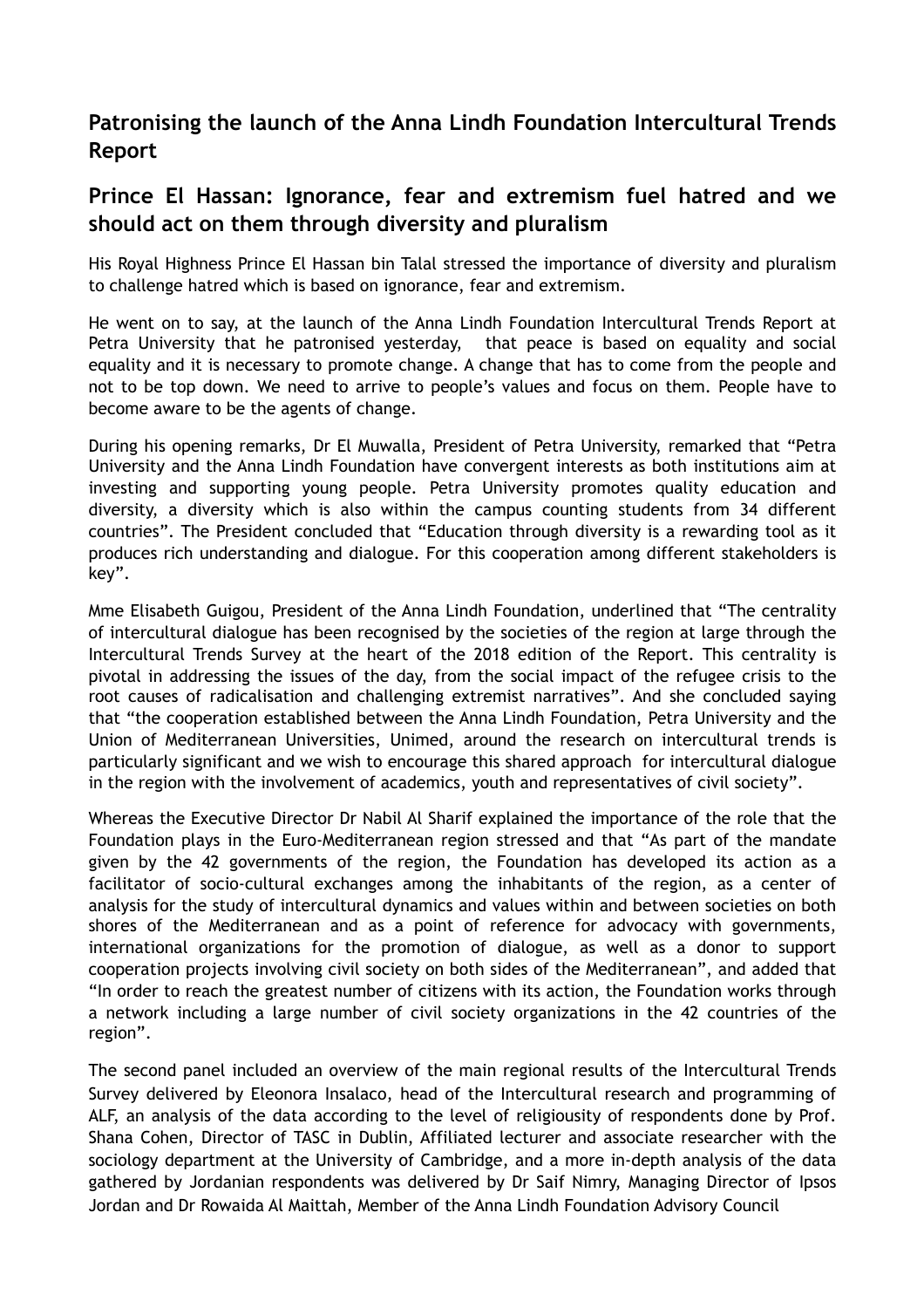## **Patronising the launch of the Anna Lindh Foundation Intercultural Trends Report**

## **Prince El Hassan: Ignorance, fear and extremism fuel hatred and we should act on them through diversity and pluralism**

His Royal Highness Prince El Hassan bin Talal stressed the importance of diversity and pluralism to challenge hatred which is based on ignorance, fear and extremism.

He went on to say, at the launch of the Anna Lindh Foundation Intercultural Trends Report at Petra University that he patronised yesterday, that peace is based on equality and social equality and it is necessary to promote change. A change that has to come from the people and not to be top down. We need to arrive to people's values and focus on them. People have to become aware to be the agents of change.

During his opening remarks, Dr El Muwalla, President of Petra University, remarked that "Petra University and the Anna Lindh Foundation have convergent interests as both institutions aim at investing and supporting young people. Petra University promotes quality education and diversity, a diversity which is also within the campus counting students from 34 different countries". The President concluded that "Education through diversity is a rewarding tool as it produces rich understanding and dialogue. For this cooperation among different stakeholders is key".

Mme Elisabeth Guigou, President of the Anna Lindh Foundation, underlined that "The centrality of intercultural dialogue has been recognised by the societies of the region at large through the Intercultural Trends Survey at the heart of the 2018 edition of the Report. This centrality is pivotal in addressing the issues of the day, from the social impact of the refugee crisis to the root causes of radicalisation and challenging extremist narratives". And she concluded saying that "the cooperation established between the Anna Lindh Foundation, Petra University and the Union of Mediterranean Universities, Unimed, around the research on intercultural trends is particularly significant and we wish to encourage this shared approach for intercultural dialogue in the region with the involvement of academics, youth and representatives of civil society".

Whereas the Executive Director Dr Nabil Al Sharif explained the importance of the role that the Foundation plays in the Euro-Mediterranean region stressed and that "As part of the mandate given by the 42 governments of the region, the Foundation has developed its action as a facilitator of socio-cultural exchanges among the inhabitants of the region, as a center of analysis for the study of intercultural dynamics and values within and between societies on both shores of the Mediterranean and as a point of reference for advocacy with governments, international organizations for the promotion of dialogue, as well as a donor to support cooperation projects involving civil society on both sides of the Mediterranean", and added that "In order to reach the greatest number of citizens with its action, the Foundation works through a network including a large number of civil society organizations in the 42 countries of the region".

The second panel included an overview of the main regional results of the Intercultural Trends Survey delivered by Eleonora Insalaco, head of the Intercultural research and programming of ALF, an analysis of the data according to the level of religiousity of respondents done by Prof. Shana Cohen, Director of TASC in Dublin, Affiliated lecturer and associate researcher with the sociology department at the University of Cambridge, and a more in-depth analysis of the data gathered by Jordanian respondents was delivered by Dr Saif Nimry, Managing Director of Ipsos Jordan and Dr Rowaida Al Maittah, Member of the Anna Lindh Foundation Advisory Council